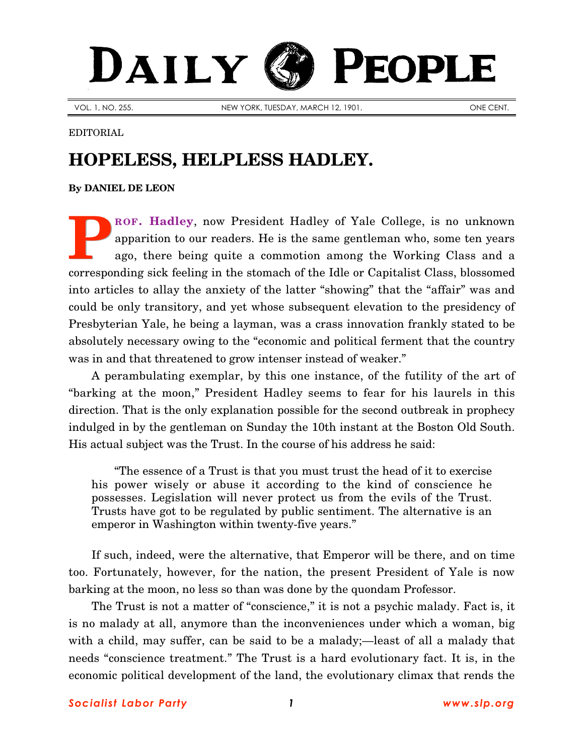## DAILY PEOPLE

VOL. 1, NO. 255. NEW YORK, TUESDAY, MARCH 12, 1901. ONE CENT.

## EDITORIAL

## **HOPELESS, HELPLESS HADLEY.**

**By [DANIEL DE LEON](http://www.slp.org/De_Leon.htm)**

**[ROF. Hadley](http://www.bartleby.com/65/ha/HadleyA.html)**, now President Hadley of Yale College, is no unknown apparition to our readers. He is the same gentleman who, some ten years ago, there being quite a commotion among the Working Class and a corresponding sick feeling in the stomach of the Idle or Capitalist Class, blossomed into articles to allay the anxiety of the latter "showing" that the "affair" was and could be only transitory, and yet whose subsequent elevation to the presidency of Presbyterian Yale, he being a layman, was a crass innovation frankly stated to be absolutely necessary owing to the "economic and political ferment that the country was in and that threatened to grow intenser instead of weaker." **P**

A perambulating exemplar, by this one instance, of the futility of the art of "barking at the moon," President Hadley seems to fear for his laurels in this direction. That is the only explanation possible for the second outbreak in prophecy indulged in by the gentleman on Sunday the 10th instant at the Boston Old South. His actual subject was the Trust. In the course of his address he said:

"The essence of a Trust is that you must trust the head of it to exercise his power wisely or abuse it according to the kind of conscience he possesses. Legislation will never protect us from the evils of the Trust. Trusts have got to be regulated by public sentiment. The alternative is an emperor in Washington within twenty-five years."

If such, indeed, were the alternative, that Emperor will be there, and on time too. Fortunately, however, for the nation, the present President of Yale is now barking at the moon, no less so than was done by the quondam Professor.

The Trust is not a matter of "conscience," it is not a psychic malady. Fact is, it is no malady at all, anymore than the inconveniences under which a woman, big with a child, may suffer, can be said to be a malady;—least of all a malady that needs "conscience treatment." The Trust is a hard evolutionary fact. It is, in the economic political development of the land, the evolutionary climax that rends the